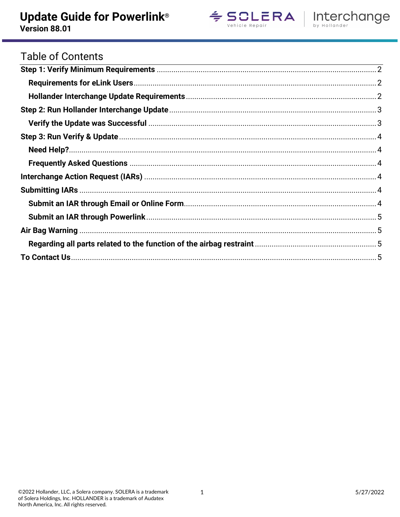Version 88.01





# **Table of Contents**

| <u> 1988 - Ann an Dùbhlachd ann an Dùbhlachd ann an Dùbhlachd ann an Dùbhlachd ann an Dùbhlachd ann an Dùbhlachd</u> |  |
|----------------------------------------------------------------------------------------------------------------------|--|
|                                                                                                                      |  |
|                                                                                                                      |  |
|                                                                                                                      |  |
|                                                                                                                      |  |
|                                                                                                                      |  |
|                                                                                                                      |  |
|                                                                                                                      |  |
|                                                                                                                      |  |
|                                                                                                                      |  |
|                                                                                                                      |  |
|                                                                                                                      |  |
|                                                                                                                      |  |
|                                                                                                                      |  |
|                                                                                                                      |  |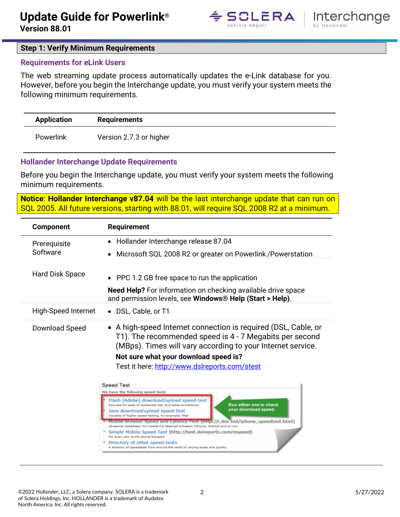



#### <span id="page-1-0"></span>**Step 1: Verify Minimum Requirements**

#### <span id="page-1-1"></span>**Requirements for eLink Users**

The web streaming update process automatically updates the e-Link database for you. However, before you begin the Interchange update, you must verify your system meets the following minimum requirements.

| <b>Application</b> | <b>Requirements</b>     |
|--------------------|-------------------------|
| <b>Powerlink</b>   | Version 2.7.3 or higher |

#### <span id="page-1-2"></span>**Hollander Interchange Update Requirements**

Before you begin the Interchange update, you must verify your system meets the following minimum requirements.

**Notice**: **Hollander Interchange v87.04** will be the last interchange update that can run on SQL 2005. All future versions, starting with 88.01, will require SQL 2008 R2 at a minimum.

| <b>Component</b>           | <b>Requirement</b>                                                                                                                                                                                                                                                                                                                                                                                                                                                                                                                                                                                   |  |  |  |  |
|----------------------------|------------------------------------------------------------------------------------------------------------------------------------------------------------------------------------------------------------------------------------------------------------------------------------------------------------------------------------------------------------------------------------------------------------------------------------------------------------------------------------------------------------------------------------------------------------------------------------------------------|--|--|--|--|
| Prerequisite               | Hollander Interchange release 87.04                                                                                                                                                                                                                                                                                                                                                                                                                                                                                                                                                                  |  |  |  |  |
| Software                   | Microsoft SQL 2008 R2 or greater on Powerlink / Powerstation                                                                                                                                                                                                                                                                                                                                                                                                                                                                                                                                         |  |  |  |  |
| Hard Disk Space            | • PPC 1.2 GB free space to run the application                                                                                                                                                                                                                                                                                                                                                                                                                                                                                                                                                       |  |  |  |  |
|                            | <b>Need Help?</b> For information on checking available drive space<br>and permission levels, see Windows® Help (Start > Help).                                                                                                                                                                                                                                                                                                                                                                                                                                                                      |  |  |  |  |
| <b>High-Speed Internet</b> | DSL, Cable, or T1                                                                                                                                                                                                                                                                                                                                                                                                                                                                                                                                                                                    |  |  |  |  |
| Download Speed             | • A high-speed Internet connection is required (DSL, Cable, or<br>T1). The recommended speed is 4 - 7 Megabits per second<br>(MBps). Times will vary according to your Internet service.<br>Not sure what your download speed is?<br>Test it here: http://www.dslreports.com/stest                                                                                                                                                                                                                                                                                                                   |  |  |  |  |
|                            | <b>Speed Test</b><br>We have the following speed tests<br>Flash (Adobe) download/upload speed test                                                                                                                                                                                                                                                                                                                                                                                                                                                                                                   |  |  |  |  |
|                            | Run either one to check<br>Accurate for tests of residential DSL and cable connections<br>your download speed.<br>Java download/upload speed test<br>Capable of higher speed testing, for example, fiber<br>Mobile browser Speed and Latency Test (http://i.dsir.net/iphone_speedtest.html)<br>ipt Speedtest, for mobile full featured browsers (iPhone, Android and so on).<br>Simple Mobile Speed Test (http://text.dslreports.com/mspeed)<br>For even very dumb phone browsers<br>Directory of other speed tests<br>A directory of speedtests from around the world of varying types and quality. |  |  |  |  |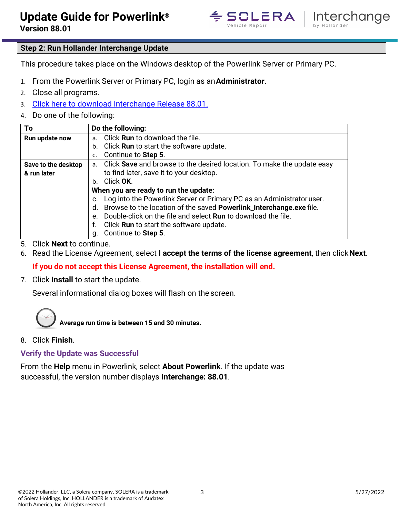



## <span id="page-2-0"></span>**Step 2: Run Hollander Interchange Update**

This procedure takes place on the Windows desktop of the Powerlink Server or Primary PC.

- 1. From the Powerlink Server or Primary PC, login as an**Administrator**.
- 2. Close all programs.
- 3. [Click here to download Interchange Release 88.01.](https://dsutaflx5ws11.cloudfront.net/Interchange/8801/Powerlink/Powerlink_Interchange.exe)
- 4. Do one of the following:

| To                  | Do the following:                                                                   |  |  |  |  |  |
|---------------------|-------------------------------------------------------------------------------------|--|--|--|--|--|
| Run update now      | Click Run to download the file.<br>a.                                               |  |  |  |  |  |
|                     | Click <b>Run</b> to start the software update.<br>b.                                |  |  |  |  |  |
|                     | Continue to Step 5.                                                                 |  |  |  |  |  |
| Save to the desktop | Click Save and browse to the desired location. To make the update easy<br>$a_{-}$   |  |  |  |  |  |
| & run later         | to find later, save it to your desktop.                                             |  |  |  |  |  |
|                     | Click OK.<br>$h_{-}$                                                                |  |  |  |  |  |
|                     | When you are ready to run the update:                                               |  |  |  |  |  |
|                     | Log into the Powerlink Server or Primary PC as an Administrator user.               |  |  |  |  |  |
|                     | Browse to the location of the saved Powerlink_Interchange.exe file.<br>d.           |  |  |  |  |  |
|                     | Double-click on the file and select <b>Run</b> to download the file.<br>$e_{\cdot}$ |  |  |  |  |  |
|                     | Click <b>Run</b> to start the software update.<br>f.                                |  |  |  |  |  |
|                     | Continue to Step 5.<br>q.                                                           |  |  |  |  |  |

- 5. Click **Next** to continue.
- 6. Read the License Agreement, select **I accept the terms of the license agreement**, then click**Next**.

## **If you do not accept this License Agreement, the installation will end.**

7. Click **Install** to start the update.

Several informational dialog boxes will flash on the screen.



8. Click **Finish**.

<span id="page-2-1"></span>**Verify the Update was Successful**

From the **Help** menu in Powerlink, select **About Powerlink**. If the update was successful, the version number displays **Interchange: 88.01**.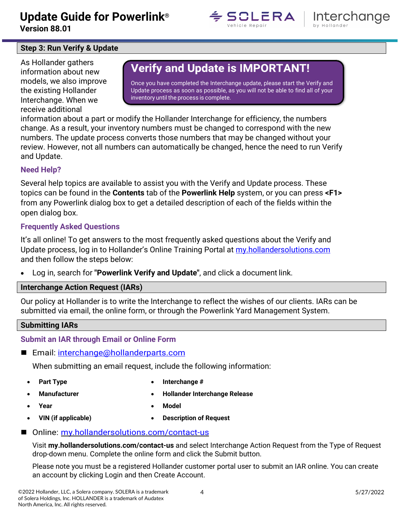**Version 88.01**





## <span id="page-3-0"></span>**Step 3: Run Verify & Update**

As Hollander gathers information about new models, we also improve the existing Hollander Interchange. When we receive additional

# **Verify and Update is IMPORTANT!**

Once you have completed the Interchange update, please start the Verify and Update process as soon as possible, as you will not be able to find all of your inventory until the process is complete.

information about a part or modify the Hollander Interchange for efficiency, the numbers change. As a result, your inventory numbers must be changed to correspond with the new numbers. The update process converts those numbers that may be changed without your review. However, not all numbers can automatically be changed, hence the need to run Verify and Update.

### <span id="page-3-1"></span>**Need Help?**

Several help topics are available to assist you with the Verify and Update process. These topics can be found in the **Contents** tab of the **Powerlink Help** system, or you can press **<F1>**  from any Powerlink dialog box to get a detailed description of each of the fields within the open dialog box.

### <span id="page-3-2"></span>**Frequently Asked Questions**

It's all online! To get answers to the most frequently asked questions about the Verify and Update process, log in to Hollander's Online Training Portal at [my.hollandersolutions.com](https://my.hollandersolutions.com/) and then follow the steps below:

• Log in, search for **"Powerlink Verify and Update"**, and click a document link.

#### <span id="page-3-3"></span>**Interchange Action Request (IARs)**

Our policy at Hollander is to write the Interchange to reflect the wishes of our clients. IARs can be submitted via email, the online form, or through the Powerlink Yard Management System.

#### <span id="page-3-4"></span>**Submitting IARs**

## <span id="page-3-5"></span>**Submit an IAR through Email or Online Form**

Email: [interchange@hollanderparts.com](mailto:interchange@hollanderparts.com)

When submitting an email request, include the following information:

- - **Part Type Interchange #**
- - **Manufacturer Hollander Interchange Release**
- - **Year Model**
- **VIN (if applicable) Description of Request**
- 
- Online: [my.hollandersolutions.com/contact-us](https://my.hollandersolutions.com/contact-us/)

Visit **my.hollandersolutions.com/contact-us** and select Interchange Action Request from the Type of Request drop-down menu. Complete the online form and click the Submit button.

Please note you must be a registered Hollander customer portal user to submit an IAR online. You can create an account by clicking Login and then Create Account.